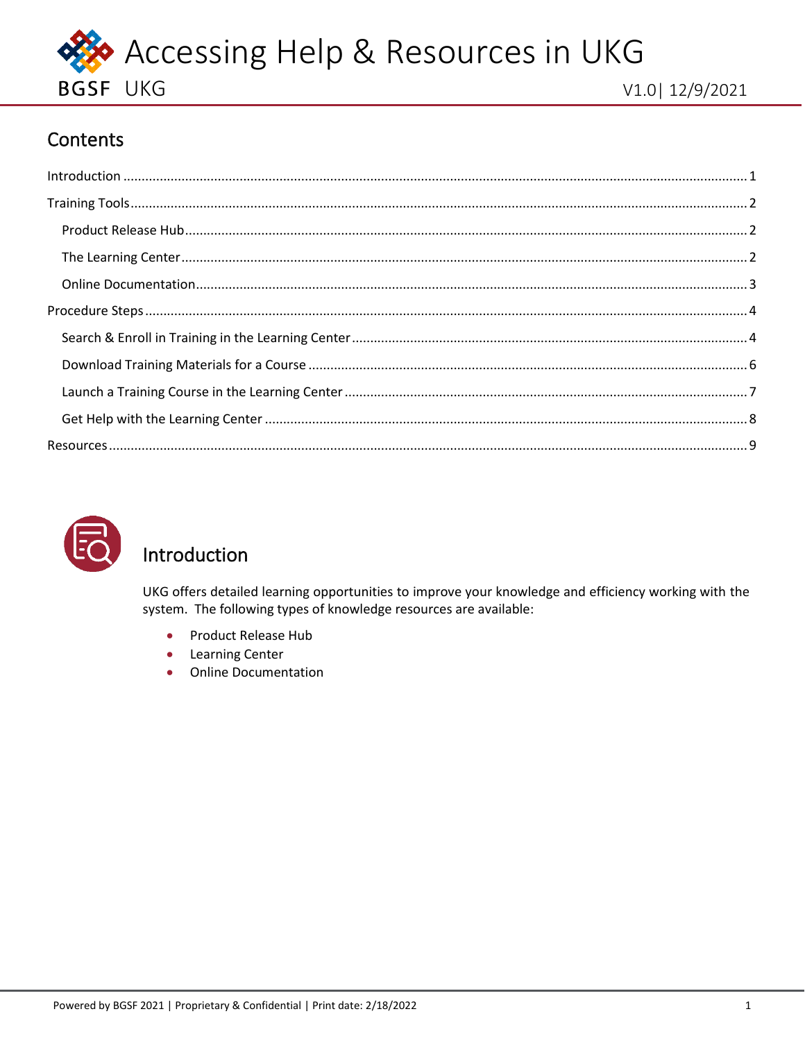

# Contents

<span id="page-0-1"></span>



# <span id="page-0-0"></span>Introduction

UKG offers detailed learning opportunities to improve your knowledge and efficiency working with the system. The following types of knowledge resources are available:

- Product Release Hub  $\bullet$
- **Learning Center**  $\bullet$
- **Online Documentation**  $\bullet$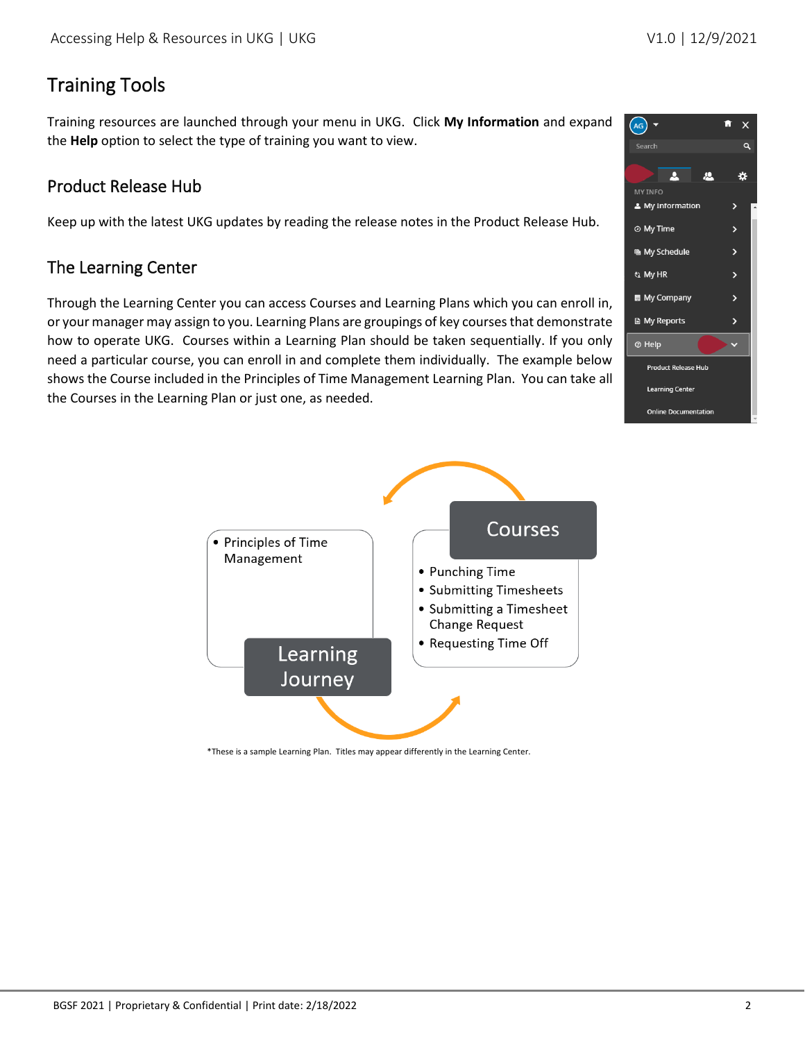# <span id="page-1-0"></span>Training Tools

Training resources are launched through your menu in UKG. Click **My Information** and expand the **Help** option to select the type of training you want to view.

### <span id="page-1-1"></span>Product Release Hub

Keep up with the latest UKG updates by reading the release notes in the Product Release Hub.

### <span id="page-1-2"></span>The Learning Center

Through the Learning Center you can access Courses and Learning Plans which you can enroll in, or your manager may assign to you. Learning Plans are groupings of key courses that demonstrate how to operate UKG. Courses within a Learning Plan should be taken sequentially. If you only need a particular course, you can enroll in and complete them individually. The example below shows the Course included in the Principles of Time Management Learning Plan. You can take all the Courses in the Learning Plan or just one, as needed.





\*These is a sample Learning Plan. Titles may appear differently in the Learning Center.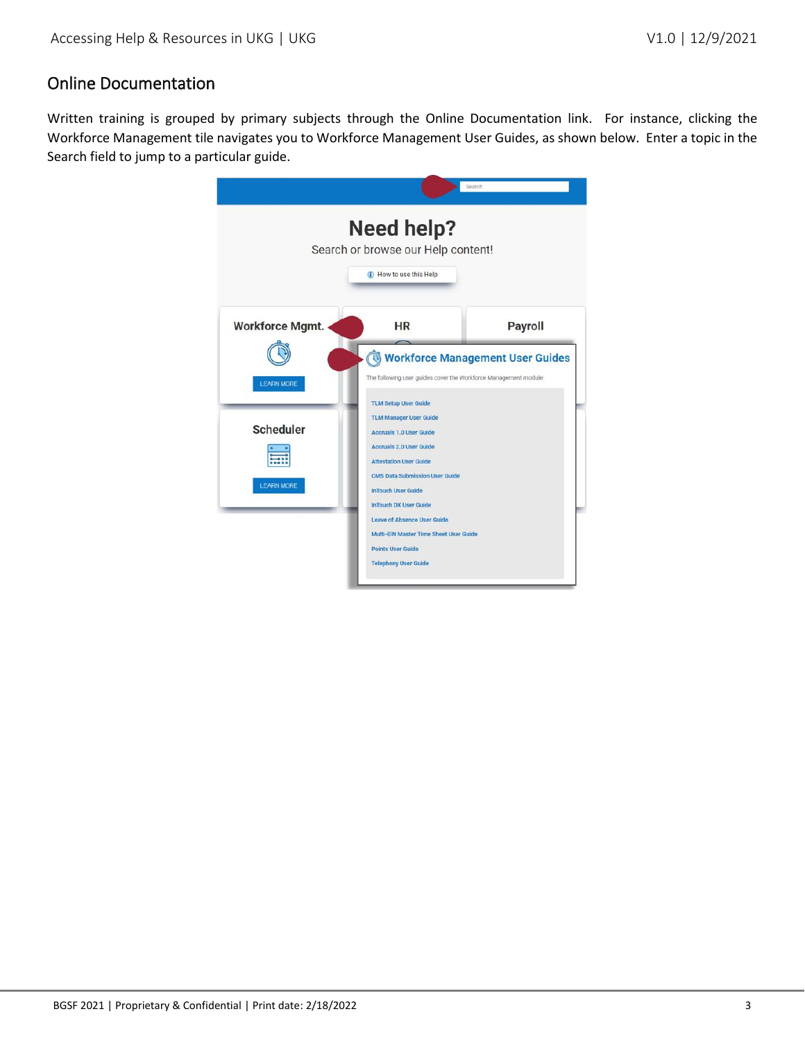### <span id="page-2-0"></span>Online Documentation

Written training is grouped by primary subjects through the Online Documentation link. For instance, clicking the Workforce Management tile navigates you to Workforce Management User Guides, as shown below. Enter a topic in the Search field to jump to a particular guide.

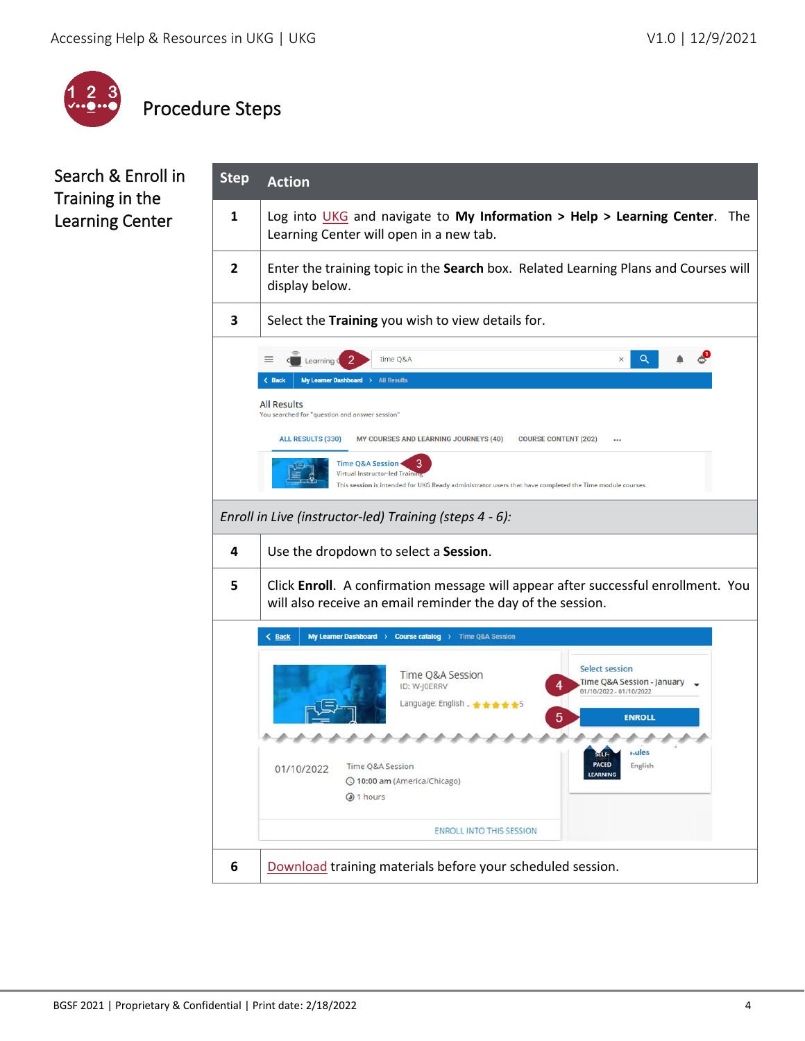

# <span id="page-3-0"></span>Procedure Steps

### <span id="page-3-1"></span>Search & Enroll in Training in the Learning Center

| <b>Step</b>    | <b>Action</b>                                                                                                                                                                                                                                                                                                                                                                                                                                                |  |  |  |
|----------------|--------------------------------------------------------------------------------------------------------------------------------------------------------------------------------------------------------------------------------------------------------------------------------------------------------------------------------------------------------------------------------------------------------------------------------------------------------------|--|--|--|
| $\mathbf{1}$   | Log into $UKG$ and navigate to My Information > Help > Learning Center. The<br>Learning Center will open in a new tab.                                                                                                                                                                                                                                                                                                                                       |  |  |  |
| $\overline{2}$ | Enter the training topic in the Search box. Related Learning Plans and Courses will<br>display below.                                                                                                                                                                                                                                                                                                                                                        |  |  |  |
| 3              | Select the Training you wish to view details for.                                                                                                                                                                                                                                                                                                                                                                                                            |  |  |  |
|                | Q<br>time O&A<br>$\times$<br>Learning C<br>My Learner Dashboard ><br>$\langle$ Back<br><b>All Results</b><br><b>All Results</b><br>You searched for "question and answer session"<br><b>ALL RESULTS (330)</b><br>MY COURSES AND LEARNING JOURNEYS (40)<br><b>COURSE CONTENT (202)</b><br>Time O&A Session .<br><b>Virtual Instructor-led Train</b><br>This session is intended for UKG Ready administrator users that have completed the Time module courses |  |  |  |
|                | Enroll in Live (instructor-led) Training (steps 4 - 6):                                                                                                                                                                                                                                                                                                                                                                                                      |  |  |  |
| 4              | Use the dropdown to select a Session.                                                                                                                                                                                                                                                                                                                                                                                                                        |  |  |  |
| 5              | Click Enroll. A confirmation message will appear after successful enrollment. You<br>will also receive an email reminder the day of the session.                                                                                                                                                                                                                                                                                                             |  |  |  |
|                | < Back<br>My Learner Dashboard > Course catalog > Time Q&A Session                                                                                                                                                                                                                                                                                                                                                                                           |  |  |  |
|                | <b>Select session</b><br>Time Q&A Session<br>Time Q&A Session - January,<br>ID: W-JOERRV<br>01/10/2022 - 01/10/2022<br>Language: English _ ★ ★ ★ ★ ★ 5<br><b>ENROLL</b>                                                                                                                                                                                                                                                                                      |  |  |  |
|                | <b>Mules</b><br><b>PACED</b><br>Time Q&A Session<br>English<br>01/10/2022<br>LEARNING<br>© 10:00 am (America/Chicago)<br>1 hours                                                                                                                                                                                                                                                                                                                             |  |  |  |
|                | <b>ENROLL INTO THIS SESSION</b>                                                                                                                                                                                                                                                                                                                                                                                                                              |  |  |  |
| 6              | Download training materials before your scheduled session.                                                                                                                                                                                                                                                                                                                                                                                                   |  |  |  |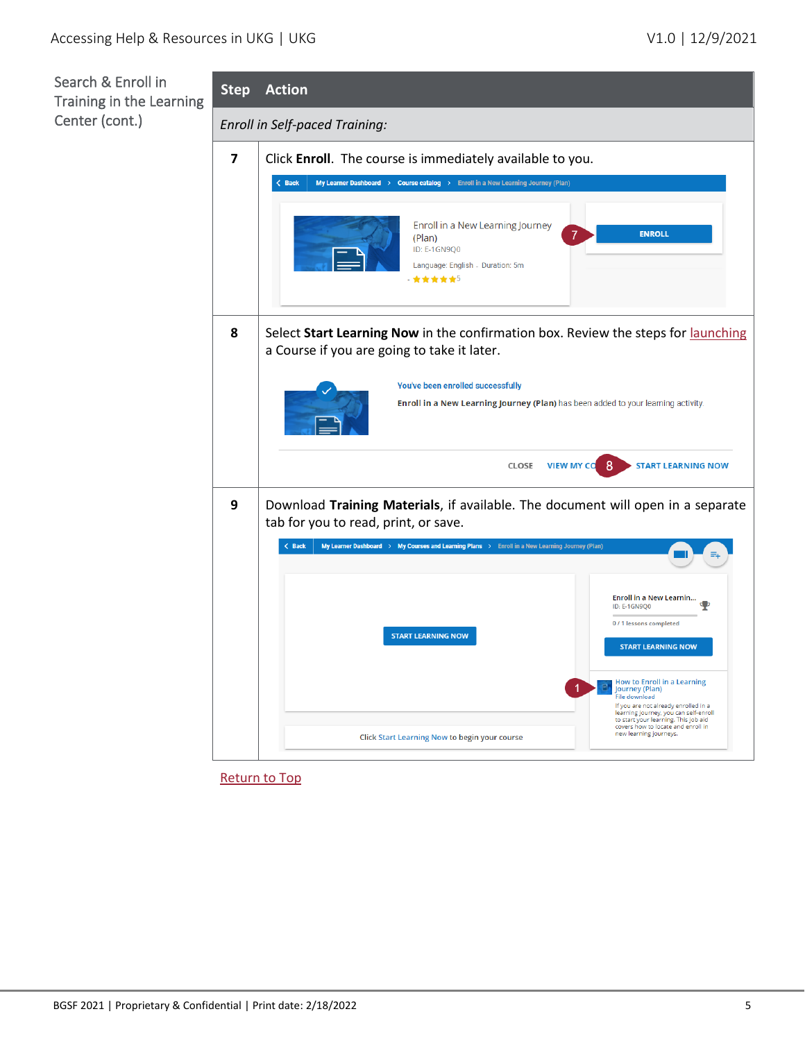

[Return to Top](#page-0-1)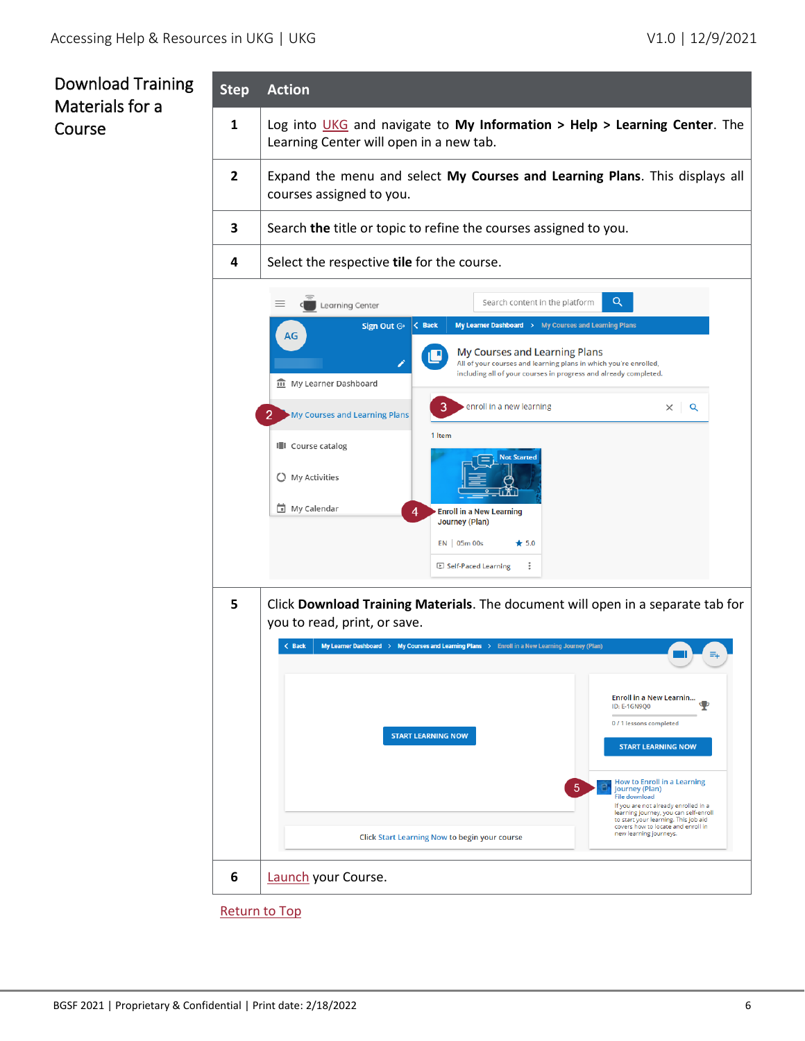## <span id="page-5-0"></span>Download Training Materials for a Course

| <b>Step</b>                                                                                                                                                                                                                                                                 | <b>Action</b>                                                                                                        |                                                                                                                                                                                                                                      |  |  |
|-----------------------------------------------------------------------------------------------------------------------------------------------------------------------------------------------------------------------------------------------------------------------------|----------------------------------------------------------------------------------------------------------------------|--------------------------------------------------------------------------------------------------------------------------------------------------------------------------------------------------------------------------------------|--|--|
| 1                                                                                                                                                                                                                                                                           | Log into UKG and navigate to My Information > Help > Learning Center. The<br>Learning Center will open in a new tab. |                                                                                                                                                                                                                                      |  |  |
| $\overline{2}$                                                                                                                                                                                                                                                              | Expand the menu and select My Courses and Learning Plans. This displays all<br>courses assigned to you.              |                                                                                                                                                                                                                                      |  |  |
| 3                                                                                                                                                                                                                                                                           |                                                                                                                      | Search the title or topic to refine the courses assigned to you.                                                                                                                                                                     |  |  |
| 4                                                                                                                                                                                                                                                                           | Select the respective tile for the course.                                                                           |                                                                                                                                                                                                                                      |  |  |
|                                                                                                                                                                                                                                                                             | Learning Center                                                                                                      | Q<br>Search content in the platform                                                                                                                                                                                                  |  |  |
| Sign Out $\ominus$<br>$\langle$ Back<br>My Learner Dashboard > My Courses and Learning Plans<br>AG<br>My Courses and Learning Plans<br>All of your courses and learning plans in which you're enrolled,<br>including all of your courses in progress and already completed. |                                                                                                                      |                                                                                                                                                                                                                                      |  |  |
|                                                                                                                                                                                                                                                                             | <b>m</b> My Learner Dashboard<br>3<br>My Courses and Learning Plans                                                  | enroll in a new learning<br>$\times$   Q                                                                                                                                                                                             |  |  |
|                                                                                                                                                                                                                                                                             | 1 Item<br>III Course catalog                                                                                         | <b>Not Started</b>                                                                                                                                                                                                                   |  |  |
|                                                                                                                                                                                                                                                                             | C My Activities<br>My Calendar                                                                                       | <b>Enroll in a New Learning</b>                                                                                                                                                                                                      |  |  |
|                                                                                                                                                                                                                                                                             | <b>Journey (Plan)</b><br>EN 05m 00s                                                                                  | $\star$ 5.0<br>Ξ<br>Self-Paced Learning                                                                                                                                                                                              |  |  |
| 5<br>Click Download Training Materials. The document will open in a separate tab for<br>you to read, print, or save.<br>$\langle$ Back<br>My Learner Dashboard > My Courses and Learning Plans > Enroll in a New Learning Journey (Plan)<br>Enroll in a New Learnin         |                                                                                                                      |                                                                                                                                                                                                                                      |  |  |
|                                                                                                                                                                                                                                                                             | <b>START LEARNING NOW</b>                                                                                            | <b>ID: E-1GN900</b><br>0/1 lessons completed<br><b>START LEARNING NOW</b><br><b>How to Enroll in a Learning</b>                                                                                                                      |  |  |
|                                                                                                                                                                                                                                                                             | <b>Click Start Learning Now to begin your course</b>                                                                 | 5<br>Journey (Plan)<br><b>File download</b><br>If you are not already enrolled in a<br>learning journey, you can self-enroll<br>to start your learning. This job aid<br>covers how to locate and enroll in<br>new learning journeys. |  |  |
| 6                                                                                                                                                                                                                                                                           | Launch your Course.                                                                                                  |                                                                                                                                                                                                                                      |  |  |
|                                                                                                                                                                                                                                                                             | <b>Return to Top</b>                                                                                                 |                                                                                                                                                                                                                                      |  |  |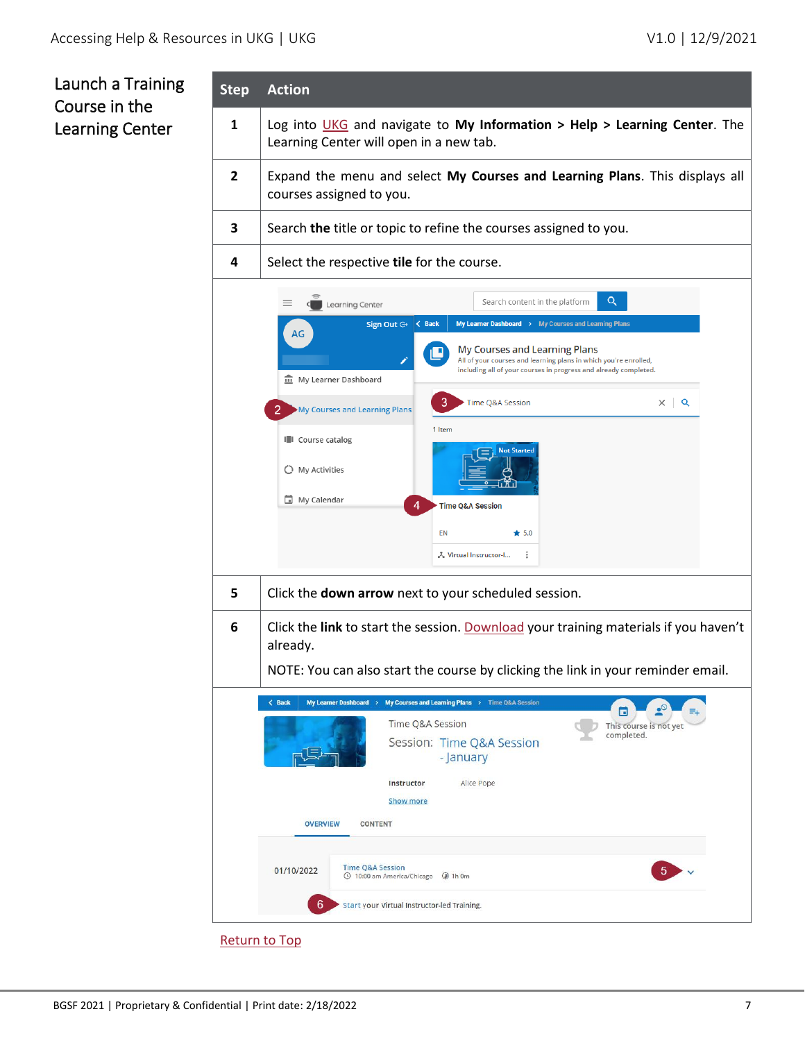## <span id="page-6-0"></span>Launch a Training Course in the Learning Center

| <b>Step</b>    | <b>Action</b>                                                                                                                                                                                                                                                                                                                                                                                                                                                                                                                                                                            |  |  |  |
|----------------|------------------------------------------------------------------------------------------------------------------------------------------------------------------------------------------------------------------------------------------------------------------------------------------------------------------------------------------------------------------------------------------------------------------------------------------------------------------------------------------------------------------------------------------------------------------------------------------|--|--|--|
| 1              | Log into UKG and navigate to My Information > Help > Learning Center. The<br>Learning Center will open in a new tab.                                                                                                                                                                                                                                                                                                                                                                                                                                                                     |  |  |  |
| $\overline{2}$ | Expand the menu and select My Courses and Learning Plans. This displays all<br>courses assigned to you.                                                                                                                                                                                                                                                                                                                                                                                                                                                                                  |  |  |  |
| 3              | Search the title or topic to refine the courses assigned to you.                                                                                                                                                                                                                                                                                                                                                                                                                                                                                                                         |  |  |  |
| 4              | Select the respective tile for the course.                                                                                                                                                                                                                                                                                                                                                                                                                                                                                                                                               |  |  |  |
|                | Q<br>Search content in the platform<br>Learning Center<br>$\langle$ Back<br>Sign Out $\ominus$<br>My Learner Dashboard > My Courses and Learning Plans<br>AG<br>My Courses and Learning Plans<br>All of your courses and learning plans in which you're enrolled,<br>including all of your courses in progress and already completed.<br>m My Learner Dashboard<br>3<br>$\times$ Q<br>Time Q&A Session<br>My Courses and Learning Plans<br>1 Item<br><b>I</b> Course catalog<br><b>Not Started</b><br>C My Activities<br>My Calendar<br><b>Time Q&amp;A Session</b><br>EN<br>$\star$ 5.0 |  |  |  |
|                | ÷<br>& Virtual Instructor-I                                                                                                                                                                                                                                                                                                                                                                                                                                                                                                                                                              |  |  |  |
| 5              | Click the down arrow next to your scheduled session.                                                                                                                                                                                                                                                                                                                                                                                                                                                                                                                                     |  |  |  |
| 6              | Click the link to start the session. Download your training materials if you haven't<br>already.<br>NOTE: You can also start the course by clicking the link in your reminder email.                                                                                                                                                                                                                                                                                                                                                                                                     |  |  |  |
|                | $\langle$ Back<br>My Learner Dashboard > My Courses and Learning Plans > Time Q&A Session<br>G<br>Time Q&A Session<br>This course is not yet<br>completed.<br>Session: Time Q&A Session<br>- January<br>Alice Pope<br>Instructor<br><b>Show more</b><br><b>OVERVIEW</b><br><b>CONTENT</b><br><b>Time Q&amp;A Session</b><br>01/10/2022<br>© 10:00 am America/Chicago @ 1h 0m                                                                                                                                                                                                             |  |  |  |
|                | 6<br>Start your Virtual Instructor-led Training.                                                                                                                                                                                                                                                                                                                                                                                                                                                                                                                                         |  |  |  |
|                | <b>Return to Top</b>                                                                                                                                                                                                                                                                                                                                                                                                                                                                                                                                                                     |  |  |  |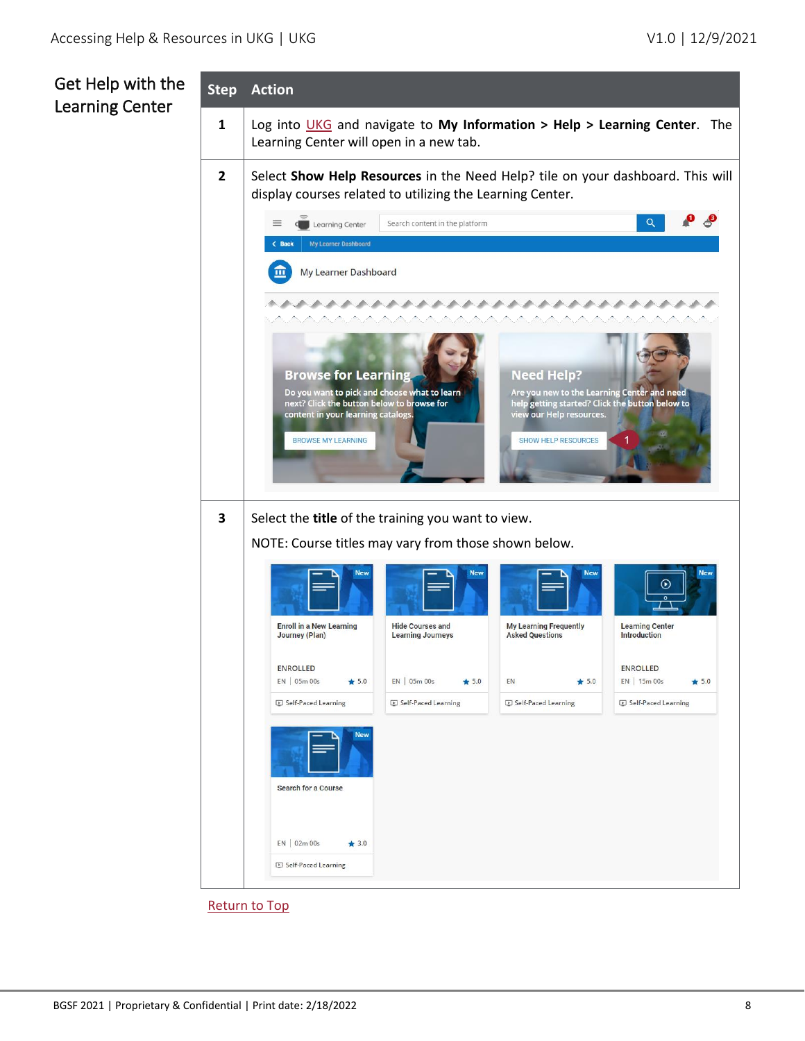## <span id="page-7-0"></span>Get Help with the Learning Center

|                | <b>Step Action</b>                                                                                                                          |                                                     |                                                                                                                            |                                               |  |
|----------------|---------------------------------------------------------------------------------------------------------------------------------------------|-----------------------------------------------------|----------------------------------------------------------------------------------------------------------------------------|-----------------------------------------------|--|
| 1              | Log into UKG and navigate to My Information > Help > Learning Center. The<br>Learning Center will open in a new tab.                        |                                                     |                                                                                                                            |                                               |  |
| $\overline{2}$ | Select Show Help Resources in the Need Help? tile on your dashboard. This will<br>display courses related to utilizing the Learning Center. |                                                     |                                                                                                                            |                                               |  |
|                | ≡<br>Learning Center                                                                                                                        | Search content in the platform                      |                                                                                                                            | Q                                             |  |
|                | $\langle$ Back<br>My Learner Dashboard                                                                                                      |                                                     |                                                                                                                            |                                               |  |
|                | My Learner Dashboard                                                                                                                        |                                                     |                                                                                                                            |                                               |  |
|                | <b>AAAAA</b>                                                                                                                                | *************                                       |                                                                                                                            |                                               |  |
|                |                                                                                                                                             |                                                     |                                                                                                                            |                                               |  |
|                | <b>Browse for Learning</b>                                                                                                                  |                                                     | <b>Need Help?</b>                                                                                                          |                                               |  |
|                | Do you want to pick and choose what to learn<br>next? Click the button below to browse for<br>content in your learning catalogs.            |                                                     | Are you new to the Learning Center and need<br>help getting started? Click the button below to<br>view our Help resources. |                                               |  |
|                | <b>BROWSE MY LEARNING</b>                                                                                                                   |                                                     | <b>SHOW HELP RESOURCES</b>                                                                                                 |                                               |  |
|                |                                                                                                                                             |                                                     |                                                                                                                            |                                               |  |
|                |                                                                                                                                             |                                                     |                                                                                                                            |                                               |  |
| 3              | Select the title of the training you want to view.                                                                                          |                                                     |                                                                                                                            |                                               |  |
|                | NOTE: Course titles may vary from those shown below.                                                                                        |                                                     |                                                                                                                            |                                               |  |
|                |                                                                                                                                             |                                                     |                                                                                                                            | $_{\odot}$                                    |  |
|                | <b>Enroll in a New Learning</b><br>Journey (Plan)                                                                                           | <b>Hide Courses and</b><br><b>Learning Journeys</b> | <b>My Learning Frequently</b><br><b>Asked Questions</b>                                                                    | <b>Learning Center</b><br><b>Introduction</b> |  |
|                | <b>ENROLLED</b>                                                                                                                             |                                                     |                                                                                                                            | <b>ENROLLED</b>                               |  |
|                | EN 05m 00s<br>$\star$ 5.0                                                                                                                   | EN 05m 00s<br>$\star$ 5.0                           | $\star$ 5.0<br>EN                                                                                                          | EN 15m 00s<br>$*5.0$                          |  |
|                | E Self-Paced Learning                                                                                                                       | Self-Paced Learning                                 | Self-Paced Learning                                                                                                        | Self-Paced Learning                           |  |
|                | <b>New</b>                                                                                                                                  |                                                     |                                                                                                                            |                                               |  |
|                | <b>Search for a Course</b>                                                                                                                  |                                                     |                                                                                                                            |                                               |  |
|                | EN 02m 00s<br>$\star$ 3.0                                                                                                                   |                                                     |                                                                                                                            |                                               |  |
|                | Self-Paced Learning                                                                                                                         |                                                     |                                                                                                                            |                                               |  |

[Return to Top](#page-0-1)